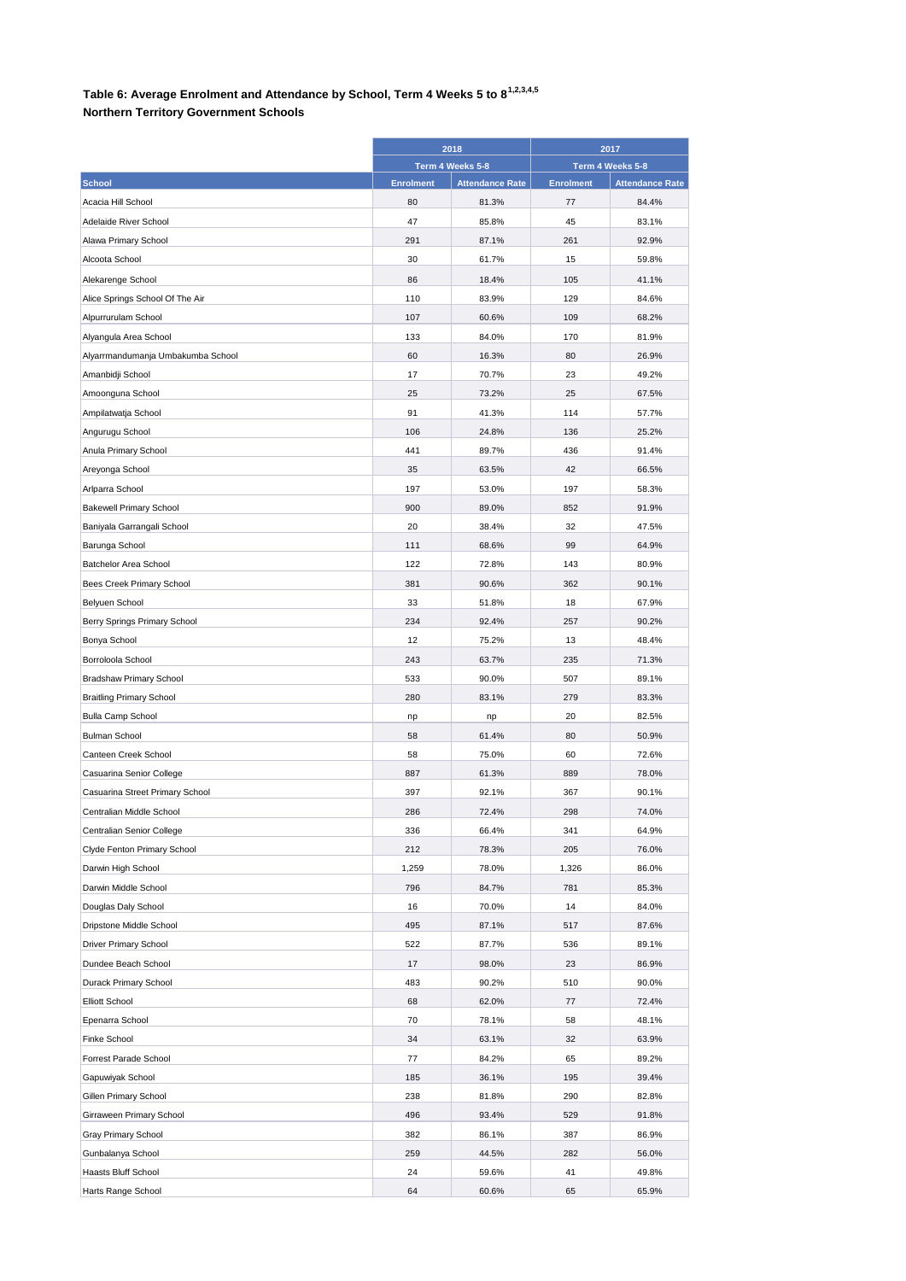## **Table 6: Average Enrolment and Attendance by School, Term 4 Weeks 5 to 81,2,3,4,5**

## **Northern Territory Government Schools**

|                                             | 2018<br>Term 4 Weeks 5-8 |                        | 2017<br>Term 4 Weeks 5-8 |                        |
|---------------------------------------------|--------------------------|------------------------|--------------------------|------------------------|
|                                             |                          |                        |                          |                        |
| <b>School</b>                               | <b>Enrolment</b>         | <b>Attendance Rate</b> | <b>Enrolment</b>         | <b>Attendance Rate</b> |
| Acacia Hill School                          | 80                       | 81.3%                  | 77                       | 84.4%                  |
| Adelaide River School                       | 47                       | 85.8%                  | 45                       | 83.1%                  |
| Alawa Primary School                        | 291                      | 87.1%                  | 261                      | 92.9%                  |
| Alcoota School                              | 30                       | 61.7%                  | 15                       | 59.8%                  |
| Alekarenge School                           | 86                       | 18.4%                  | 105                      | 41.1%                  |
| Alice Springs School Of The Air             | 110                      | 83.9%                  | 129                      | 84.6%                  |
| Alpurrurulam School                         | 107                      | 60.6%                  | 109                      | 68.2%                  |
| Alyangula Area School                       | 133                      | 84.0%                  | 170                      | 81.9%                  |
| Alyarrmandumanja Umbakumba School           | 60                       | 16.3%                  | 80                       | 26.9%                  |
| Amanbidji School                            | 17                       | 70.7%                  | 23                       | 49.2%                  |
| Amoonguna School                            | 25                       | 73.2%                  | 25                       | 67.5%                  |
| Ampilatwatja School                         | 91                       | 41.3%                  | 114                      | 57.7%                  |
| Angurugu School                             | 106                      | 24.8%                  | 136                      | 25.2%                  |
| Anula Primary School                        | 441                      | 89.7%                  | 436                      | 91.4%                  |
| Areyonga School                             | 35                       | 63.5%                  | 42                       | 66.5%                  |
| Arlparra School                             | 197                      | 53.0%                  | 197                      | 58.3%                  |
| <b>Bakewell Primary School</b>              | 900                      | 89.0%                  | 852                      | 91.9%                  |
| Baniyala Garrangali School                  | 20                       | 38.4%                  | 32                       | 47.5%                  |
| Barunga School                              | 111                      | 68.6%                  | 99                       | 64.9%                  |
| Batchelor Area School                       | 122                      | 72.8%                  | 143                      | 80.9%                  |
|                                             | 381                      | 90.6%                  | 362                      | 90.1%                  |
| Bees Creek Primary School<br>Belyuen School | 33                       | 51.8%                  | 18                       | 67.9%                  |
|                                             |                          |                        |                          |                        |
| Berry Springs Primary School                | 234                      | 92.4%                  | 257                      | 90.2%                  |
| Bonya School                                | 12                       | 75.2%                  | 13                       | 48.4%                  |
| Borroloola School                           | 243                      | 63.7%                  | 235                      | 71.3%                  |
| <b>Bradshaw Primary School</b>              | 533                      | 90.0%                  | 507                      | 89.1%                  |
| <b>Braitling Primary School</b>             | 280                      | 83.1%                  | 279                      | 83.3%                  |
| <b>Bulla Camp School</b>                    | np                       | np                     | 20                       | 82.5%                  |
| <b>Bulman School</b>                        | 58                       | 61.4%                  | 80                       | 50.9%                  |
| Canteen Creek School                        | 58                       | 75.0%                  | 60                       | 72.6%                  |
| Casuarina Senior College                    | 887                      | 61.3%                  | 889                      | 78.0%                  |
| Casuarina Street Primary School             | 397                      | 92.1%                  | 367                      | 90.1%                  |
| Centralian Middle School                    | 286                      | 72.4%                  | 298                      | 74.0%                  |
| Centralian Senior College                   | 336                      | 66.4%                  | 341                      | 64.9%                  |
| Clyde Fenton Primary School                 | 212                      | 78.3%                  | 205                      | 76.0%                  |
| Darwin High School                          | 1,259                    | 78.0%                  | 1,326                    | 86.0%                  |
| Darwin Middle School                        | 796                      | 84.7%                  | 781                      | 85.3%                  |
| Douglas Daly School                         | 16                       | 70.0%                  | 14                       | 84.0%                  |
| Dripstone Middle School                     | 495                      | 87.1%                  | 517                      | 87.6%                  |
| Driver Primary School                       | 522                      | 87.7%                  | 536                      | 89.1%                  |
| Dundee Beach School                         | 17                       | 98.0%                  | 23                       | 86.9%                  |
| Durack Primary School                       | 483                      | 90.2%                  | 510                      | 90.0%                  |
| <b>Elliott School</b>                       | 68                       | 62.0%                  | 77                       | 72.4%                  |
| Epenarra School                             | 70                       | 78.1%                  | 58                       | 48.1%                  |
| Finke School                                | 34                       | 63.1%                  | 32                       | 63.9%                  |
| Forrest Parade School                       | 77                       | 84.2%                  | 65                       | 89.2%                  |
| Gapuwiyak School                            | 185                      | 36.1%                  | 195                      | 39.4%                  |
| Gillen Primary School                       | 238                      | 81.8%                  | 290                      | 82.8%                  |
| Girraween Primary School                    | 496                      | 93.4%                  | 529                      | 91.8%                  |
| Gray Primary School                         | 382                      | 86.1%                  | 387                      | 86.9%                  |
| Gunbalanya School                           | 259                      | 44.5%                  | 282                      | 56.0%                  |
| Haasts Bluff School                         | 24                       | 59.6%                  | 41                       | 49.8%                  |
| Harts Range School                          | 64                       | 60.6%                  | 65                       | 65.9%                  |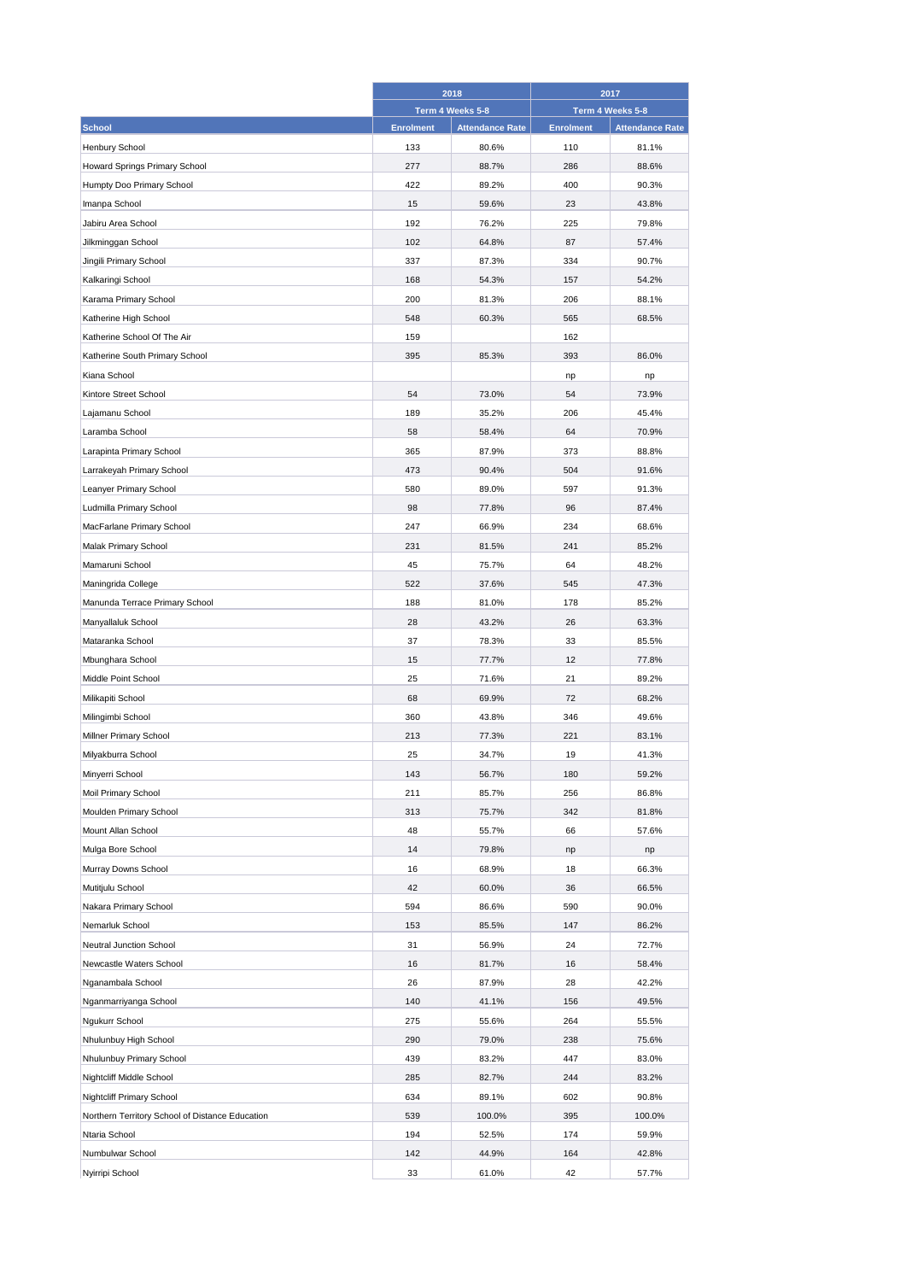|                                                 | 2018             |                        | 2017             |                        |
|-------------------------------------------------|------------------|------------------------|------------------|------------------------|
|                                                 |                  | Term 4 Weeks 5-8       |                  | Term 4 Weeks 5-8       |
| <b>School</b>                                   | <b>Enrolment</b> | <b>Attendance Rate</b> | <b>Enrolment</b> | <b>Attendance Rate</b> |
| <b>Henbury School</b>                           | 133              | 80.6%                  | 110              | 81.1%                  |
| Howard Springs Primary School                   | 277              | 88.7%                  | 286              | 88.6%                  |
| Humpty Doo Primary School                       | 422              | 89.2%                  | 400              | 90.3%                  |
| Imanpa School                                   | 15               | 59.6%                  | 23               | 43.8%                  |
| Jabiru Area School                              | 192              | 76.2%                  | 225              | 79.8%                  |
| Jilkminggan School                              | 102              | 64.8%                  | 87               | 57.4%                  |
| Jingili Primary School                          | 337              | 87.3%                  | 334              | 90.7%                  |
| Kalkaringi School                               | 168              | 54.3%                  | 157              | 54.2%                  |
| Karama Primary School                           | 200              | 81.3%                  | 206              | 88.1%                  |
| Katherine High School                           | 548              | 60.3%                  | 565              | 68.5%                  |
| Katherine School Of The Air                     | 159              |                        | 162              |                        |
| Katherine South Primary School                  | 395              | 85.3%                  | 393              | 86.0%                  |
| Kiana School                                    |                  |                        | np               | np                     |
| Kintore Street School                           | 54               | 73.0%                  | 54               | 73.9%                  |
| Lajamanu School                                 | 189              | 35.2%                  | 206              | 45.4%                  |
| Laramba School                                  | 58               | 58.4%                  | 64               | 70.9%                  |
|                                                 |                  |                        |                  |                        |
| Larapinta Primary School                        | 365              | 87.9%                  | 373              | 88.8%                  |
| Larrakeyah Primary School                       | 473              | 90.4%                  | 504              | 91.6%                  |
| Leanyer Primary School                          | 580              | 89.0%                  | 597              | 91.3%                  |
| Ludmilla Primary School                         | 98               | 77.8%                  | 96               | 87.4%                  |
| MacFarlane Primary School                       | 247              | 66.9%                  | 234              | 68.6%                  |
| Malak Primary School                            | 231              | 81.5%                  | 241              | 85.2%                  |
| Mamaruni School                                 | 45               | 75.7%                  | 64               | 48.2%                  |
| Maningrida College                              | 522              | 37.6%                  | 545              | 47.3%                  |
| Manunda Terrace Primary School                  | 188              | 81.0%                  | 178              | 85.2%                  |
| Manyallaluk School                              | 28               | 43.2%                  | 26               | 63.3%                  |
| Mataranka School                                | 37               | 78.3%                  | 33               | 85.5%                  |
| Mbunghara School                                | 15               | 77.7%                  | 12               | 77.8%                  |
| Middle Point School                             | 25               | 71.6%                  | 21               | 89.2%                  |
| Milikapiti School                               | 68               | 69.9%                  | 72               | 68.2%                  |
| Milingimbi School                               | 360              | 43.8%                  | 346              | 49.6%                  |
| Millner Primary School                          | 213              | 77.3%                  | 221              | 83.1%                  |
| Milyakburra School                              | 25               | 34.7%                  | 19               | 41.3%                  |
| Minyerri School                                 | 143              | 56.7%                  | 180              | 59.2%                  |
| Moil Primary School                             | 211              | 85.7%                  | 256              | 86.8%                  |
| Moulden Primary School                          | 313              | 75.7%                  | 342              | 81.8%                  |
| Mount Allan School                              | 48               | 55.7%                  | 66               | 57.6%                  |
| Mulga Bore School                               | 14               | 79.8%                  | np               | np                     |
| Murray Downs School                             | 16               | 68.9%                  | 18               | 66.3%                  |
| Mutitjulu School                                | 42               | 60.0%                  | 36               | 66.5%                  |
| Nakara Primary School                           | 594              | 86.6%                  | 590              | 90.0%                  |
| Nemarluk School                                 | 153              | 85.5%                  | 147              | 86.2%                  |
| Neutral Junction School                         | 31               | 56.9%                  | 24               | 72.7%                  |
| Newcastle Waters School                         | 16               | 81.7%                  | 16               | 58.4%                  |
| Nganambala School                               | 26               | 87.9%                  | 28               | 42.2%                  |
| Nganmarriyanga School                           | 140              | 41.1%                  | 156              | 49.5%                  |
|                                                 |                  |                        |                  |                        |
| Ngukurr School                                  | 275<br>290       | 55.6%<br>79.0%         | 264<br>238       | 55.5%<br>75.6%         |
| Nhulunbuy High School                           |                  |                        |                  |                        |
| Nhulunbuy Primary School                        | 439              | 83.2%                  | 447              | 83.0%                  |
| Nightcliff Middle School                        | 285              | 82.7%                  | 244              | 83.2%                  |
| <b>Nightcliff Primary School</b>                | 634              | 89.1%                  | 602              | 90.8%                  |
| Northern Territory School of Distance Education | 539              | 100.0%                 | 395              | 100.0%                 |
| Ntaria School                                   | 194              | 52.5%                  | 174              | 59.9%                  |
| Numbulwar School                                | 142              | 44.9%                  | 164              | 42.8%                  |
| Nyirripi School                                 | 33               | 61.0%                  | 42               | 57.7%                  |